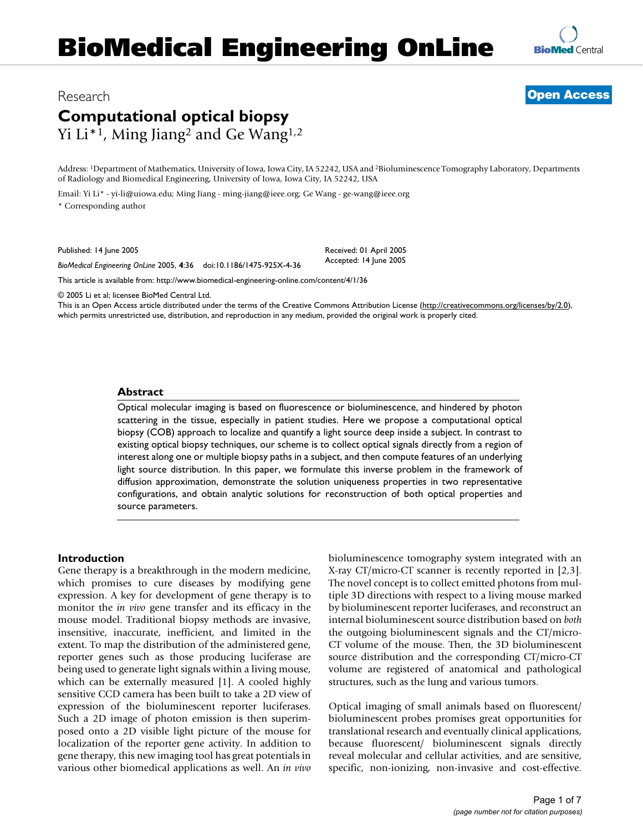# **BioMedical Engineering OnLine**



### Research **[Open Access](http://www.biomedcentral.com/info/about/charter/)**

## **Computational optical biopsy** Yi Li<sup>\*1</sup>, Ming Jiang<sup>2</sup> and Ge Wang<sup>1,2</sup>

Address: 1Department of Mathematics, University of Iowa, Iowa City, IA 52242, USA and 2Bioluminescence Tomography Laboratory, Departments of Radiology and Biomedical Engineering, University of Iowa, Iowa City, IA 52242, USA

> Received: 01 April 2005 Accepted: 14 June 2005

Email: Yi Li\* - yi-li@uiowa.edu; Ming Jiang - ming-jiang@ieee.org; Ge Wang - ge-wang@ieee.org \* Corresponding author

Published: 14 June 2005

*BioMedical Engineering OnLine* 2005, **4**:36 doi:10.1186/1475-925X-4-36

[This article is available from: http://www.biomedical-engineering-online.com/content/4/1/36](http://www.biomedical-engineering-online.com/content/4/1/36)

© 2005 Li et al; licensee BioMed Central Ltd.

This is an Open Access article distributed under the terms of the Creative Commons Attribution License [\(http://creativecommons.org/licenses/by/2.0\)](http://creativecommons.org/licenses/by/2.0), which permits unrestricted use, distribution, and reproduction in any medium, provided the original work is properly cited.

#### **Abstract**

Optical molecular imaging is based on fluorescence or bioluminescence, and hindered by photon scattering in the tissue, especially in patient studies. Here we propose a computational optical biopsy (COB) approach to localize and quantify a light source deep inside a subject. In contrast to existing optical biopsy techniques, our scheme is to collect optical signals directly from a region of interest along one or multiple biopsy paths in a subject, and then compute features of an underlying light source distribution. In this paper, we formulate this inverse problem in the framework of diffusion approximation, demonstrate the solution uniqueness properties in two representative configurations, and obtain analytic solutions for reconstruction of both optical properties and source parameters.

#### **Introduction**

Gene therapy is a breakthrough in the modern medicine, which promises to cure diseases by modifying gene expression. A key for development of gene therapy is to monitor the *in vivo* gene transfer and its efficacy in the mouse model. Traditional biopsy methods are invasive, insensitive, inaccurate, inefficient, and limited in the extent. To map the distribution of the administered gene, reporter genes such as those producing luciferase are being used to generate light signals within a living mouse, which can be externally measured [1]. A cooled highly sensitive CCD camera has been built to take a 2D view of expression of the bioluminescent reporter luciferases. Such a 2D image of photon emission is then superimposed onto a 2D visible light picture of the mouse for localization of the reporter gene activity. In addition to gene therapy, this new imaging tool has great potentials in various other biomedical applications as well. An *in vivo* bioluminescence tomography system integrated with an X-ray CT/micro-CT scanner is recently reported in [2,3]. The novel concept is to collect emitted photons from multiple 3D directions with respect to a living mouse marked by bioluminescent reporter luciferases, and reconstruct an internal bioluminescent source distribution based on *both* the outgoing bioluminescent signals and the CT/micro-CT volume of the mouse. Then, the 3D bioluminescent source distribution and the corresponding CT/micro-CT volume are registered of anatomical and pathological structures, such as the lung and various tumors.

Optical imaging of small animals based on fluorescent/ bioluminescent probes promises great opportunities for translational research and eventually clinical applications, because fluorescent/ bioluminescent signals directly reveal molecular and cellular activities, and are sensitive, specific, non-ionizing, non-invasive and cost-effective.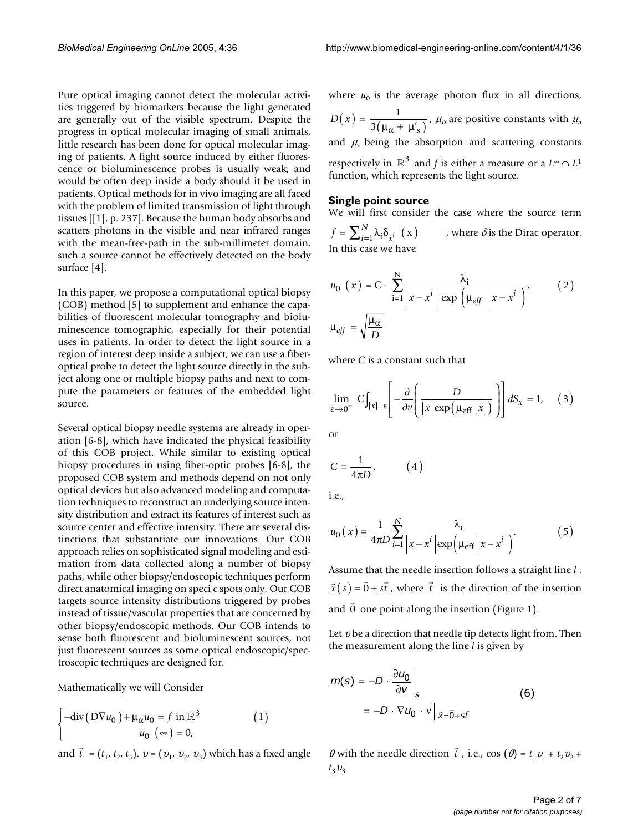Pure optical imaging cannot detect the molecular activities triggered by biomarkers because the light generated are generally out of the visible spectrum. Despite the progress in optical molecular imaging of small animals, little research has been done for optical molecular imaging of patients. A light source induced by either fluorescence or bioluminescence probes is usually weak, and would be often deep inside a body should it be used in patients. Optical methods for in vivo imaging are all faced with the problem of limited transmission of light through tissues [[1], p. 237]. Because the human body absorbs and scatters photons in the visible and near infrared ranges with the mean-free-path in the sub-millimeter domain, such a source cannot be effectively detected on the body surface [4].

In this paper, we propose a computational optical biopsy (COB) method [5] to supplement and enhance the capabilities of fluorescent molecular tomography and bioluminescence tomographic, especially for their potential uses in patients. In order to detect the light source in a region of interest deep inside a subject, we can use a fiberoptical probe to detect the light source directly in the subject along one or multiple biopsy paths and next to compute the parameters or features of the embedded light source.

Several optical biopsy needle systems are already in operation [6-8], which have indicated the physical feasibility of this COB project. While similar to existing optical biopsy procedures in using fiber-optic probes [6-8], the proposed COB system and methods depend on not only optical devices but also advanced modeling and computation techniques to reconstruct an underlying source intensity distribution and extract its features of interest such as source center and effective intensity. There are several distinctions that substantiate our innovations. Our COB approach relies on sophisticated signal modeling and estimation from data collected along a number of biopsy paths, while other biopsy/endoscopic techniques perform direct anatomical imaging on speci c spots only. Our COB targets source intensity distributions triggered by probes instead of tissue/vascular properties that are concerned by other biopsy/endoscopic methods. Our COB intends to sense both fluorescent and bioluminescent sources, not just fluorescent sources as some optical endoscopic/spectroscopic techniques are designed for.

Mathematically we will Consider

$$
\begin{cases}\n-\text{div}\left(D\nabla u_0\right) + \mu_\alpha u_0 = f \text{ in } \mathbb{R}^3\\ \nu_0 \ (\infty) = 0,\n\end{cases} \tag{1}
$$

 $\vec{t}$  =  $(t_1, t_2, t_3)$ .  $v = (v_1, v_2, v_3)$  which has a fixed angle  $\theta$  with the needle direction  $\vec{t}$ 

where  $u_0$  is the average photon flux in all directions,  $D(x) = \frac{1}{3(\mu_{\alpha} + \mu'_{s})}$ ,  $\mu_{\alpha}$  are positive constants with  $\mu_{\alpha}$ and  $\mu$ <sub>s</sub> being the absorption and scattering constants respectively in  $\mathbb{R}^3$  and *f* is either a measure or a  $L^{\infty} \cap L^1$ function, which represents the light source.

#### **Single point source**

We will first consider the case where the source term  $f = \sum_{i=1}^{N} \lambda_i \delta_{x^i}$  (x) , where  $\delta$  is the Dirac operator. In this case we have

$$
u_0(x) = C \cdot \sum_{i=1}^{N} \frac{\lambda_i}{|x - x^i| \exp \left(\mu_{eff} |x - x^i|\right)},
$$
 (2)  

$$
\mu_{eff} = \sqrt{\frac{\mu_{\alpha}}{D}}
$$

where *C* is a constant such that

$$
\lim_{\varepsilon \to 0^+} C \int_{[x] = \varepsilon} \left[ -\frac{\partial}{\partial v} \left( \frac{D}{|x| \exp(\mu_{\text{eff}} |x|)} \right) \right] dS_x = 1, \quad (3)
$$

or

$$
C = \frac{1}{4\pi D}, \qquad (4)
$$

i.e.,

$$
u_0(x) = \frac{1}{4\pi D} \sum_{i=1}^{N} \frac{\lambda_i}{\left|x - x^i\right| \exp\left(\mu_{\text{eff}} \left|x - x^i\right|\right)}.
$$
 (5)

Assume that the needle insertion follows a straight line *l* :  $\vec{x}(s) = \vec{0} + s\vec{t}$ , where  $\vec{t}$  is the direction of the insertion and 0 one point along the insertion (Figure [1](#page-2-0)).  $\overline{\phantom{a}}$ 0

Let  $v$  be a direction that needle tip detects light from. Then the measurement along the line *l* is given by

$$
m(s) = -D \cdot \frac{\partial u_0}{\partial v}\Big|_s
$$
  
= -D \cdot \nabla u\_0 \cdot v \Big|\_{\vec{x} = \vec{0} + s\vec{t}} (6)

and  $\vec{t} = (t_1, t_2, t_3)$ .  $v = (v_1, v_2, v_3)$  which has a fixed angle  $\theta$  with the needle direction  $\vec{t}$ , i.e., cos  $(\theta) = t_1v_1 + t_2v_2 +$  $t_3v_3$  $\theta$  with the needle direction  $\vec{t}$ , i.e., cos ( $\theta$ ) =  $t_1v_1 + t_2v_2 +$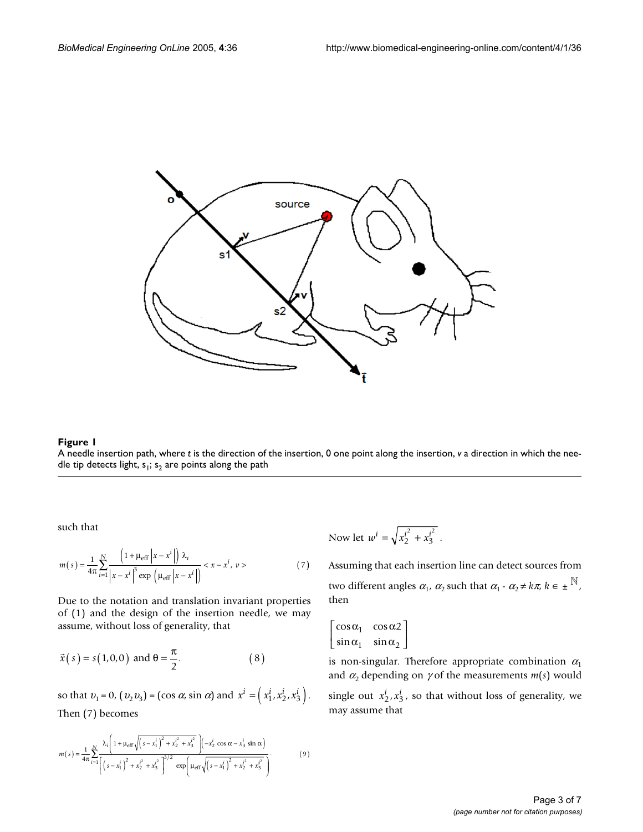<span id="page-2-0"></span>

#### **Figure 1**

A needle insertion path, where *t* is the direction of the insertion, 0 one point along the insertion, *v* a direction in which the needle tip detects light,  $s_1$ ;  $s_2$  are points along the path

such that

$$
m(s) = \frac{1}{4\pi} \sum_{i=1}^{N} \frac{\left(1 + \mu_{\text{eff}} \left|x - x^{i}\right|\right) \lambda_{i}}{\left|x - x^{i}\right|^{3} \exp\left(\mu_{\text{eff}} \left|x - x^{i}\right|\right)} < x - x^{i}, v > \qquad (7)
$$

Due to the notation and translation invariant properties of (1) and the design of the insertion needle, we may assume, without loss of generality, that

$$
\vec{x}(s) = s(1,0,0)
$$
 and  $\theta = \frac{\pi}{2}$ . (8)

so that  $v_1 = 0$ ,  $(v_2 v_3) = (\cos \alpha, \sin \alpha)$  and  $x^i = (x_1^i, x_2^i, x_3^i)$ . Then (7) becomes

$$
m(s) = \frac{1}{4\pi} \sum_{i=1}^{N} \frac{\lambda_i \left(1 + \mu_{\text{eff}} \sqrt{\left(s - x_1^i\right)^2 + x_2^{i^2} + x_3^{i^2}}\right) \left(-x_2^i \cos \alpha - x_3^i \sin \alpha\right)}{\left[\left(s - x_1^i\right)^2 + x_2^{i^2} + x_3^{i^2}\right]^{3/2} \exp\left(\mu_{\text{eff}} \sqrt{\left(s - x_1^i\right)^2 + x_2^{i^2} + x_3^{i^2}}\right)}.
$$
(9)

Now let  $w^i = \sqrt{x_2^{i^2} + x_3^{i^2}}$ .

Assuming that each insertion line can detect sources from two different angles  $\alpha_1$ ,  $\alpha_2$  such that  $\alpha_1$  -  $\alpha_2 \neq k\pi$ ,  $k \in \pm \frac{\mathbb{N}}{k}$ , then

$$
\begin{bmatrix}\n\cos \alpha_1 & \cos \alpha_2 \\
\sin \alpha_1 & \sin \alpha_2\n\end{bmatrix}
$$

is non-singular. Therefore appropriate combination  $\alpha_1$ and  $\alpha_2$  depending on  $\gamma$  of the measurements  $m(s)$  would

single out  $x_2^i$ ,  $x_3^i$ , so that without loss of generality, we may assume that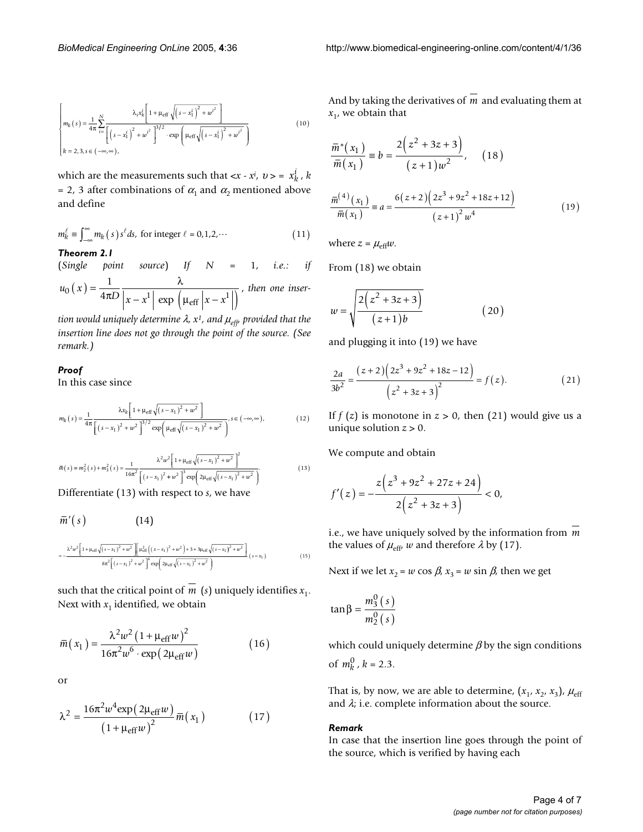$$
\begin{cases}\nm_k(s) = \frac{1}{4\pi} \sum_{i=1}^{N} \frac{\lambda_i x_k^i \left[1 + \mu_{\text{eff}} \sqrt{\left(s - x_1^i\right)^2 + w^{i^2}\right]} \right. \\
\left.\left.\left.\left.\left(s - x_1^i\right)^2 + w^{i^2}\right.\right]^{3/2} \cdot \exp\left(\mu_{\text{eff}} \sqrt{\left(s - x_1^i\right)^2 + w^{i^2}\right)} \right. \\
\left.k = 2, 3, s \in (-\infty, \infty),\n\end{cases} \tag{10}
$$

which are the measurements such that  $\langle x - x^i, v \rangle = x^i_k$ , *k* = 2, 3 after combinations of  $\alpha_1$  and  $\alpha_2$  mentioned above and define

$$
m_k^{\ell} \equiv \int_{-\infty}^{\infty} m_k(s) s^{\ell} ds, \text{ for integer } \ell = 0, 1, 2, \cdots
$$
 (11)

*Theorem 2.1*

(*Single point source*) *If N* = 1, *i.e.: if*  $u_0(x) = \frac{1}{4\pi D} \frac{x}{|x-x^1| \exp\left(\mu_{\text{eff}} |x-x^1|\right)},$  then one inser $f(x) = {1 \over 4\pi D} {\lambda \over \left| x - x^1 \right| \, \exp\, \left( \mu_{\rm eff} \left| x - x^1 \right| \right)}$ λ  $\exp\left(\mu_{\text{eff}}\right)$ 

*tion would uniquely determine* λ*, x1, and* µ*eff, provided that the insertion line does not go through the point of the source. (See remark.)*

#### *Proof*

In this case since

$$
m_{k}(s) = \frac{1}{4\pi} \frac{\lambda x_{k} \left[1 + \mu_{\text{eff}}\sqrt{(s - x_{1})^{2} + w^{2}}\right]}{\left[\left(s - x_{1}\right)^{2} + w^{2}\right]^{3/2} \exp\left(\mu_{\text{eff}}\sqrt{(s - x_{1})^{2} + w^{2}}\right)} s \in (-\infty, \infty),
$$
\n(12)

$$
\bar{m}(s) = m_2^2(s) + m_3^2(s) = \frac{1}{16\pi^2} \frac{\lambda^2 w^2 \left[1 + \mu_{\text{eff}}\sqrt{(s - x_1)^2 + w^2}\right]^2}{\left[(s - x_1)^2 + w^2\right]^3 \exp\left(2\mu_{\text{eff}}\sqrt{(s - x_1)^2 + w^2}\right)}.
$$
\nDifferentiate (13) with the correct to  $s$  two have

Differentiate (13) with respect to *s*, we have

$$
\overline{m}'(s) \qquad (14)
$$
\n
$$
= -\frac{\lambda^2 w^2 \left[1 + \mu_{eff} \sqrt{(s - x_1)^2 + w^2} \right] \left[\mu_{eff}^2 \left((x - x_1)^2 + w^2\right) + 3 + 3\mu_{eff} \sqrt{(s - x_1)^2 + w^2}\right]}{8\pi^2 \left[(s - x_1)^2 + w^2\right]^4 \exp\left(2\mu_{eff} \sqrt{(s - x_1)^2 + w^2}\right)} \qquad (15)
$$

such that the critical point of  $m$  ( $s$ ) uniquely identifies  $x_1$ . Next with  $x_1$  identified, we obtain

$$
\bar{m}(x_1) = \frac{\lambda^2 w^2 (1 + \mu_{\text{eff}} w)^2}{16\pi^2 w^6 \cdot \exp(2\mu_{\text{eff}} w)}
$$
(16)

or

$$
\lambda^{2} = \frac{16\pi^{2}w^{4}\exp(2\mu_{\text{eff}}w)}{(1 + \mu_{\text{eff}}w)^{2}}\bar{m}(x_{1})
$$
 (17)

And by taking the derivatives of m and evaluating them at  $x_1$ , we obtain that

$$
\frac{\overline{m}^{\text{''}}(x_1)}{\overline{m}(x_1)} = b = \frac{2(z^2 + 3z + 3)}{(z+1)w^2}, \quad (18)
$$

$$
\frac{\overline{m}^{(4)}(x_1)}{\overline{m}(x_1)} = a = \frac{6(z+2)(2z^3 + 9z^2 + 18z + 12)}{(z+1)^2 w^4}
$$
(19)

where  $z = \mu_{\text{eff}}w$ .

From (18) we obtain

$$
w = \sqrt{\frac{2(z^2 + 3z + 3)}{(z+1)b}}
$$
 (20)

and plugging it into (19) we have

$$
\frac{2a}{3b^2} = \frac{(z+2)\left(2z^3 + 9z^2 + 18z - 12\right)}{\left(z^2 + 3z + 3\right)^2} = f(z).
$$
 (21)

If  $f(z)$  is monotone in  $z > 0$ , then (21) would give us a unique solution  $z > 0$ .

We compute and obtain

$$
f'(z) = -\frac{z\left(z^3 + 9z^2 + 27z + 24\right)}{2\left(z^2 + 3z + 3\right)} < 0,
$$

i.e., we have uniquely solved by the information from *m* the values of  $\mu_{eff}$ , *w* and therefore  $\lambda$  by (17).

Next if we let  $x_2 = w \cos \beta$ ,  $x_3 = w \sin \beta$ , then we get

$$
\tan\beta = \frac{m_3^0(s)}{m_2^0(s)}
$$

which could uniquely determine  $\beta$  by the sign conditions of  $m_k^0$ ,  $k = 2.3$ .

That is, by now, we are able to determine,  $(x_1, x_2, x_3)$ ,  $\mu_{\text{eff}}$ and  $\lambda$ ; i.e. complete information about the source.

#### *Remark*

In case that the insertion line goes through the point of the source, which is verified by having each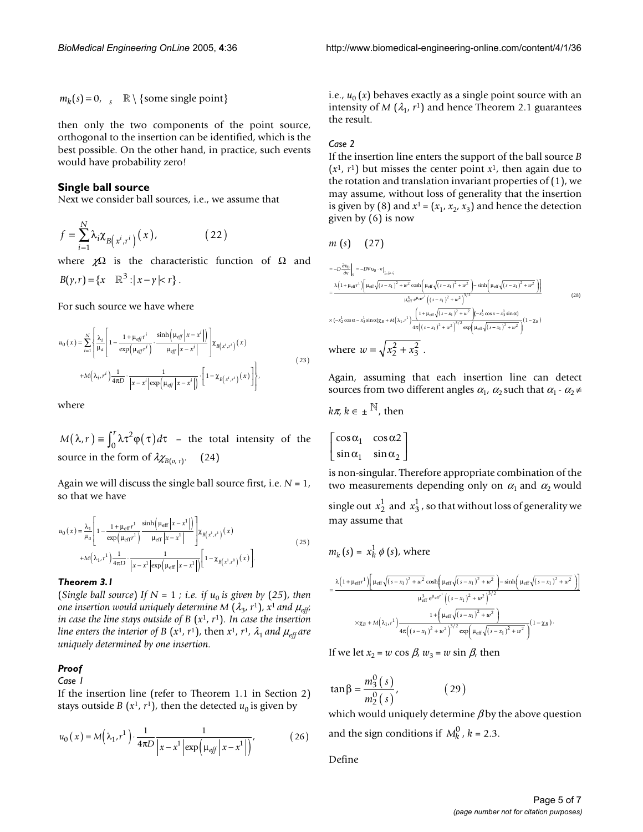$m_k(s) = 0$ ,  $s \mathbb{R} \setminus \{ \text{some single point} \}$ 

then only the two components of the point source, orthogonal to the insertion can be identified, which is the best possible. On the other hand, in practice, such events would have probability zero!

#### **Single ball source**

Next we consider ball sources, i.e., we assume that

$$
f = \sum_{i=1}^{N} \lambda_i \chi_{B(x^i, r^i)}(x), \qquad (22)
$$

where  $\chi\Omega$  is the characteristic function of  $\Omega$  and  $B(y, r) = \{x \in \mathbb{R}^3 : |x - y| < r\}.$ 

For such source we have where

$$
u_0(x) = \sum_{i=1}^{N} \left\{ \frac{\lambda_i}{\mu_a} \left[ 1 - \frac{1 + \mu_{eff}r^i}{\exp\left(\mu_{eff}r^i\right)} \cdot \frac{\sinh\left(\mu_{eff}\left|x - x^i\right|\right)}{\mu_{eff}\left|x - x^i\right|} \right] \chi_{B\left(x^i, r^i\right)}(x) + M\left(\lambda_i, r^i\right) \frac{1}{4\pi D} \cdot \frac{1}{\left|x - x^i\right|\exp\left(\mu_{eff}\left|x - x^i\right|\right)} \cdot \left[1 - \chi_{B\left(x^i, r^i\right)}(x)\right] \right\},\tag{23}
$$

where

 $M(\lambda, r) \equiv \int_0^r \lambda \tau^2 \varphi(\tau) d\tau$  - the total intensity of the source in the form of  $\lambda \chi_{B(o, r)}$ . (24)

Again we will discuss the single ball source first, i.e. *N* = 1, so that we have

$$
u_0(x) = \frac{\lambda_1}{\mu_a} \left[ 1 - \frac{1 + \mu_{\text{eff}} r^1}{\exp\left(\mu_{\text{eff}} r^1\right)} \frac{\sinh\left(\mu_{\text{eff}} \left|x - x^1\right|\right)}{\mu_{\text{eff}} \left|x - x^1\right|} \right] \chi_{B\left(x^1, r^1\right)}(x) + M\left(\lambda_1, r^1\right) \frac{1}{4\pi D} \cdot \frac{1}{\left|x - x^1 \left|\exp\left(\mu_{\text{eff}} \left|x - x^1\right|\right|\right)} \left[1 - \chi_{B\left(x^1, r^1\right)}(x)\right].
$$
\n(25)

#### *Theorem 3.1*

(*Single ball source*) *If*  $N = 1$  *; i.e. if*  $u_0$  *is given by (25), then one insertion would uniquely determine*  $M(\lambda_3, r^1)$ ,  $x^1$  and  $\mu_{eff}$ ; *in case the line stays outside of B* (*x*1, *r*1)*. In case the insertion line enters the interior of B (* $x$ *<sup>1</sup>,*  $r$ *<sup>1</sup>), then*  $x$ *<sup>1</sup>,*  $r$ *<sup>1</sup>,*  $\lambda$ *<sub>1</sub> <i>and*  $\mu$ *<sub>eff</sub> are uniquely determined by one insertion.*

#### *Proof*

*Case 1*

If the insertion line (refer to Theorem 1.1 in Section 2) stays outside *B* ( $x^1$ ,  $r^1$ ), then the detected  $u_0$  is given by

$$
u_0(x) = M\left(\lambda_1, r^1\right) \cdot \frac{1}{4\pi D} \frac{1}{\left|x - x^1\right| \exp\left(\mu_{\text{eff}}\left|x - x^1\right|\right)},\tag{26}
$$

i.e.,  $u_0(x)$  behaves exactly as a single point source with an intensity of *M* ( $\lambda_1$ ,  $r^1$ ) and hence Theorem 2.1 guarantees the result.

#### *Case 2*

If the insertion line enters the support of the ball source *B*  $(x<sup>1</sup>, r<sup>1</sup>)$  but misses the center point  $x<sup>1</sup>$ , then again due to the rotation and translation invariant properties of (1), we may assume, without loss of generality that the insertion is given by (8) and  $x^1 = (x_1, x_2, x_3)$  and hence the detection given by (6) is now

$$
m(s) \quad (27)
$$

$$
=-D\frac{\partial v_{0}}{\partial v}\Big|_{S} = -D\nabla v_{0} \cdot v\Big|_{z=\hat{v}=\hat{v}} = -D\frac{\partial v_{0}}{\partial v}\Big|_{S} = -D\nabla v_{0} \cdot v\Big|_{z=\hat{v}=\hat{v}} + \frac{\lambda(1 + \mu_{eff}r^{1})\Big[\mu_{eff}\sqrt{(s - x_{1})^{2} + w^{2}}\cosh\Big(\mu_{eff}\sqrt{(s - x_{1})^{2} + w^{2}}\Big)^{3/2}\Big]}{ \mu_{eff}^{2} e^{\mu_{eff}r^{1}}\Big((s - x_{1})^{2} + w^{2}\Big)^{3/2}} \times (-x_{2}^{1}\cos\alpha - x_{3}^{1}\sin\alpha)\chi_{B} + M(\lambda_{1}, r^{1})\frac{\Big(1 + \mu_{eff}\sqrt{(s - x_{1})^{2} + w^{2}}\Big)(-x_{2}^{1}\cos\alpha - x_{3}^{1}\sin\alpha)}{4\pi\Big((s - x_{1})^{2} + w^{2}\Big)^{3/2}\exp\Big(\mu_{eff}\sqrt{(s - x_{1})^{2} + w^{2}}\Big)}(1 - \chi_{B}) \text{where } w = \sqrt{x_{2}^{2} + x_{3}^{2}}.
$$
 (28)

Again, assuming that each insertion line can detect sources from two different angles  $\alpha_1$ ,  $\alpha_2$  such that  $\alpha_1$  -  $\alpha_2 \neq$ 

$$
k\pi, k \in \pm^{\mathbb{N}}
$$
, then  

$$
\begin{bmatrix} \cos \alpha & \cos \alpha \\ \cos \alpha & \cos \alpha \end{bmatrix}
$$

 $\mathbb{R}$ 

$$
\begin{bmatrix}\n\cos \alpha_1 & \cos \alpha_2 \\
\sin \alpha_1 & \sin \alpha_2\n\end{bmatrix}
$$

is non-singular. Therefore appropriate combination of the two measurements depending only on  $\alpha_1$  and  $\alpha_2$  would

single out  $x_2^1$  and  $x_3^1$  , so that without loss of generality we may assume that

$$
m_{k}(s) = x_{k}^{1} \phi(s), \text{ where}
$$
\n
$$
= \frac{\lambda (1 + \mu_{eff}r^{1}) \left[ \mu_{eff} \sqrt{(s - x_{1})^{2} + w^{2}} \cosh(\mu_{eff} \sqrt{(s - x_{1})^{2} + w^{2}}) - \sinh(\mu_{eff} \sqrt{(s - x_{1})^{2} + w^{2}}) \right]}{\mu_{eff}^{3} e^{\mu_{eff}r^{1}} \left( (s - x_{1})^{2} + w^{2} \right)^{3/2}}
$$
\n
$$
\times \chi_{B} + M(\lambda_{1}, r^{1}) \frac{1 + (\mu_{eff} \sqrt{(s - x_{1})^{2} + w^{2}})}{4\pi ((s - x_{1})^{2} + w^{2})^{3/2} \exp(\mu_{eff} \sqrt{(s - x_{1})^{2} + w^{2}})} (1 - \chi_{B}).
$$

If we let  $x_2 = w \cos \beta$ ,  $w_3 = w \sin \beta$ , then

$$
\tan \beta = \frac{m_3^0(s)}{m_2^0(s)},
$$
 (29)

which would uniquely determine  $\beta$  by the above question and the sign conditions if  $M_k^0$ ,  $k = 2.3$ .

Define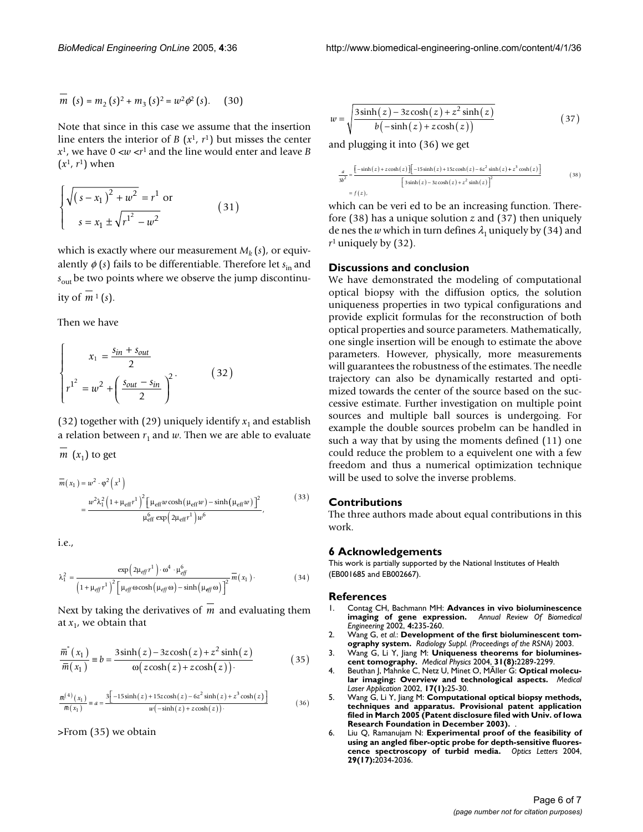$$
m (s) = m_2 (s)2 + m_3 (s)2 = w2 \phi2 (s).
$$
 (30)

Note that since in this case we assume that the insertion line enters the interior of *B*  $(x<sup>1</sup>, r<sup>1</sup>)$  but misses the center  $x<sup>1</sup>$ , we have  $0 < w < r<sup>1</sup>$  and the line would enter and leave *B*  $(x<sup>1</sup>, r<sup>1</sup>)$  when

$$
\begin{cases} \sqrt{(s - x_1)^2 + w^2} = r^1 \text{ or} \\ s = x_1 \pm \sqrt{r^1^2 - w^2} \end{cases}
$$
 (31)

which is exactly where our measurement  $M_k(s)$ , or equivalently φ (*s*) fails to be differentiable. Therefore let *s*in and  $s<sub>out</sub>$  be two points where we observe the jump discontinuity of  $m<sup>1</sup>(s)$ .

Then we have

$$
\begin{cases}\n x_1 = \frac{s_{in} + s_{out}}{2} \\
 r^{1^2} = w^2 + \left(\frac{s_{out} - s_{in}}{2}\right)^2\n\end{cases}
$$
\n(32)

(32) together with (29) uniquely identify  $x_1$  and establish a relation between  $r_1$  and  $w$ . Then we are able to evaluate

 $m(x_1)$  to get

$$
\overline{m}(x_1) = w^2 \cdot \varphi^2 \left(x^1\right)
$$
\n
$$
= \frac{w^2 \lambda_1^2 \left(1 + \mu_{\text{eff}} r^1\right)^2 \left[\mu_{\text{eff}} w \cosh\left(\mu_{\text{eff}} w\right) - \sinh\left(\mu_{\text{eff}} w\right)\right]^2}{\mu_{\text{eff}}^6 \exp\left(2\mu_{\text{eff}} r^1\right) w^6},
$$
\n(33)

i.e.,

$$
\lambda_1^2 = \frac{\exp\left(2\mu_{eff}r^1\right) \cdot \omega^4 \cdot \mu_{eff}^6}{\left(1 + \mu_{eff}r^1\right)^2 \left[\mu_{eff}\omega \cosh\left(\mu_{eff}\omega\right) - \sinh\left(\mu_{eff}\omega\right)\right]^2} \overline{m}(x_1)
$$
\n(34)

Next by taking the derivatives of m and evaluating them at  $x_1$ , we obtain that

$$
\frac{\overline{m}^*(x_1)}{\overline{m}(x_1)} \equiv b = \frac{3\sinh(z) - 3z\cosh(z) + z^2\sinh(z)}{\omega(z\cosh(z) + z\cosh(z))} \tag{35}
$$

$$
\frac{\overline{m}^{(4)}(x_1)}{\overline{m}(x_1)} = a = \frac{3[-15\sinh(z) + 15z\cosh(z) - 6z^2\sinh(z) + z^3\cosh(z)]}{w(-\sinh(z) + z\cosh(z))} \tag{36}
$$

>From (35) we obtain

$$
w = \sqrt{\frac{3\sinh(z) - 3z\cosh(z) + z^2\sinh(z)}{b(-\sinh(z) + z\cosh(z))}}
$$
(37)

and plugging it into (36) we get

$$
\frac{a}{3b^2} = \frac{\left[-\sinh(z) + z\cosh(z)\right] \left[-15\sinh(z) + 15z\cosh(z) - 6z^2\sinh(z) + z^3\cosh(z)\right]}{\left[3\sinh(z) - 3z\cosh(z) + z^2\sinh(z)\right]^2}
$$
(38)

which can be veri ed to be an increasing function. Therefore (38) has a unique solution *z* and (37) then uniquely de nes the *w* which in turn defines  $\lambda_1$  uniquely by (34) and  $r<sup>1</sup>$  uniquely by (32).

#### **Discussions and conclusion**

We have demonstrated the modeling of computational optical biopsy with the diffusion optics, the solution uniqueness properties in two typical configurations and provide explicit formulas for the reconstruction of both optical properties and source parameters. Mathematically, one single insertion will be enough to estimate the above parameters. However, physically, more measurements will guarantees the robustness of the estimates. The needle trajectory can also be dynamically restarted and optimized towards the center of the source based on the successive estimate. Further investigation on multiple point sources and multiple ball sources is undergoing. For example the double sources probelm can be handled in such a way that by using the moments defined (11) one could reduce the problem to a equivelent one with a few freedom and thus a numerical optimization technique will be used to solve the inverse problems.

#### **Contributions**

The three authors made about equal contributions in this work.

#### **6 Acknowledgements**

This work is partially supported by the National Institutes of Health (EB001685 and EB002667).

#### **References**

- 1. Contag CH, Bachmann MH: **[Advances in vivo bioluminescence](http://www.ncbi.nlm.nih.gov/entrez/query.fcgi?cmd=Retrieve&db=PubMed&dopt=Abstract&list_uids=12117758) [imaging of gene expression.](http://www.ncbi.nlm.nih.gov/entrez/query.fcgi?cmd=Retrieve&db=PubMed&dopt=Abstract&list_uids=12117758)** *Annual Review Of Biomedical Engineering* 2002, **4:**235-260.
- 2. Wang G, *et al.*: **Development of the first bioluminescent tomography system.** *Radiology Suppl. (Proceedings of the RSNA)* 2003.
- 3. Wang G, Li Y, Jiang M: **[Uniqueness theorems for biolumines](http://www.ncbi.nlm.nih.gov/entrez/query.fcgi?cmd=Retrieve&db=PubMed&dopt=Abstract&list_uids=15377096)[cent tomography.](http://www.ncbi.nlm.nih.gov/entrez/query.fcgi?cmd=Retrieve&db=PubMed&dopt=Abstract&list_uids=15377096)** *Medical Physics* 2004, **31(8):**2289-2299.
- 4. Beuthan J, Mahnke C, Netz U, Minet O, MÃller G: **Optical molecular imaging: Overview and technological aspects.** *Medical Laser Application* 2002, **17(1):**25-30.
- 5. Wang G, Li Y, Jiang M: **Computational optical biopsy methods, techniques and apparatus. Provisional patent application filed in March 2005 (Patent disclosure filed with Univ. of Iowa Research Foundation in December 2003).** .
- 6. Liu Q, Ramanujam N: **[Experimental proof of the feasibility of](http://www.ncbi.nlm.nih.gov/entrez/query.fcgi?cmd=Retrieve&db=PubMed&dopt=Abstract&list_uids=15455771) [using an angled fiber-optic probe for depth-sensitive fluores](http://www.ncbi.nlm.nih.gov/entrez/query.fcgi?cmd=Retrieve&db=PubMed&dopt=Abstract&list_uids=15455771)[cence spectroscopy of turbid media.](http://www.ncbi.nlm.nih.gov/entrez/query.fcgi?cmd=Retrieve&db=PubMed&dopt=Abstract&list_uids=15455771)** *Optics Letters* 2004, **29(17):**2034-2036.